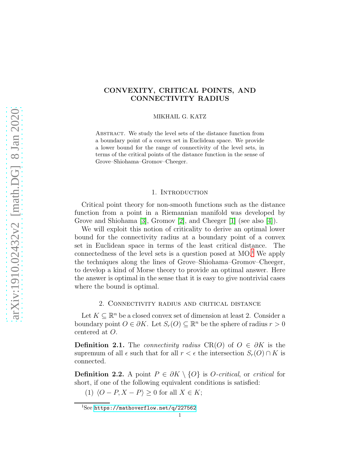# CONVEXITY, CRITICAL POINTS, AND CONNECTIVITY RADIUS

MIKHAIL G. KATZ

ABSTRACT. We study the level sets of the distance function from a boundary point of a convex set in Euclidean space. We provide a lower bound for the range of connectivity of the level sets, in terms of the critical points of the distance function in the sense of Grove–Shiohama–Gromov–Cheeger.

# 1. INTRODUCTION

Critical point theory for non-smooth functions such as the distance function from a point in a Riemannian manifold was developed by Grove and Shiohama [\[3\]](#page-3-0), Gromov [\[2\]](#page-3-1), and Cheeger [\[1\]](#page-3-2) (see also [\[4\]](#page-3-3)).

We will exploit this notion of criticality to derive an optimal lower bound for the connectivity radius at a boundary point of a convex set in Euclidean space in terms of the least critical distance. The connectedness of the level sets is a question posed at  $MO<sup>1</sup>$  $MO<sup>1</sup>$  $MO<sup>1</sup>$ . We apply the techniques along the lines of Grove–Shiohama–Gromov–Cheeger, to develop a kind of Morse theory to provide an optimal answer. Here the answer is optimal in the sense that it is easy to give nontrivial cases where the bound is optimal.

# 2. Connectivity radius and critical distance

Let  $K \subseteq \mathbb{R}^n$  be a closed convex set of dimension at least 2. Consider a boundary point  $O \in \partial K$ . Let  $S_r(O) \subseteq \mathbb{R}^n$  be the sphere of radius  $r > 0$ centered at O.

**Definition 2.1.** The *connectivity radius* CR(O) of  $O \in \partial K$  is the supremum of all  $\epsilon$  such that for all  $r < \epsilon$  the intersection  $S_r(O) \cap K$  is connected.

**Definition 2.2.** A point  $P \in \partial K \setminus \{O\}$  is *O-critical*, or *critical* for short, if one of the following equivalent conditions is satisfied:

(1)  $\langle O - P, X - P \rangle \ge 0$  for all  $X \in K$ ;

<span id="page-0-0"></span><sup>1</sup>See <https://mathoverflow.net/q/227562>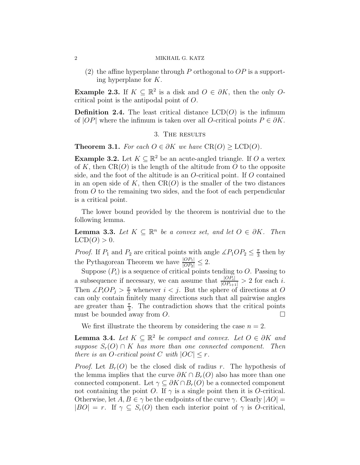(2) the affine hyperplane through P orthogonal to  $OP$  is a supporting hyperplane for K.

**Example 2.3.** If  $K \subseteq \mathbb{R}^2$  is a disk and  $O \in \partial K$ , then the only Ocritical point is the antipodal point of O.

**Definition 2.4.** The least critical distance  $LCD(O)$  is the infimum of  $|OP|$  where the infimum is taken over all O-critical points  $P \in \partial K$ .

# 3. The results

<span id="page-1-0"></span>**Theorem 3.1.** For each  $O \in \partial K$  we have  $CR(O) \geq LCD(O)$ .

**Example 3.2.** Let  $K \subseteq \mathbb{R}^2$  be an acute-angled triangle. If O a vertex of K, then  $CR(O)$  is the length of the altitude from O to the opposite side, and the foot of the altitude is an  $O$ -critical point. If  $O$  contained in an open side of K, then  $CR(O)$  is the smaller of the two distances from O to the remaining two sides, and the foot of each perpendicular is a critical point.

The lower bound provided by the theorem is nontrivial due to the following lemma.

**Lemma 3.3.** Let  $K \subseteq \mathbb{R}^n$  be a convex set, and let  $O \in \partial K$ . Then  $LCD(O) > 0.$ 

*Proof.* If  $P_1$  and  $P_2$  are critical points with angle  $\angle P_1OP_2 \leq \frac{\pi}{3}$  $\frac{\pi}{3}$  then by the Pythagorean Theorem we have  $\frac{|OP_1|}{|OP_2|} \leq 2$ .

Suppose  $(P_i)$  is a sequence of critical points tending to O. Passing to a subsequence if necessary, we can assume that  $\frac{|OP_i|}{|OP_{i+1}|} > 2$  for each i. Then  $\angle P_i \overline{OP}_j > \frac{\pi}{3}$  whenever  $i < j$ . But the sphere of directions at O can only contain finitely many directions such that all pairwise angles are greater than  $\frac{\pi}{3}$ . The contradiction shows that the critical points must be bounded away from  $O$ .

We first illustrate the theorem by considering the case  $n = 2$ .

<span id="page-1-1"></span>**Lemma 3.4.** Let  $K \subseteq \mathbb{R}^2$  be compact and convex. Let  $O \in \partial K$  and suppose  $S_r(O) \cap K$  has more than one connected component. Then there is an O-critical point C with  $|OC| \leq r$ .

*Proof.* Let  $B_r(O)$  be the closed disk of radius r. The hypothesis of the lemma implies that the curve  $\partial K \cap B_r(O)$  also has more than one connected component. Let  $\gamma \subseteq \partial K \cap B_r(O)$  be a connected component not containing the point O. If  $\gamma$  is a single point then it is O-critical. Otherwise, let  $A, B \in \gamma$  be the endpoints of the curve  $\gamma$ . Clearly  $|AO|$  =  $|BO| = r$ . If  $\gamma \subseteq S_r(O)$  then each interior point of  $\gamma$  is O-critical,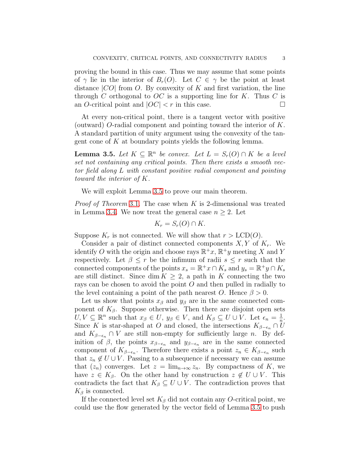proving the bound in this case. Thus we may assume that some points of  $\gamma$  lie in the interior of  $B_r(O)$ . Let  $C \in \gamma$  be the point at least distance  $|CO|$  from O. By convexity of K and first variation, the line through C orthogonal to  $OC$  is a supporting line for K. Thus C is an O-critical point and  $|OC| < r$  in this case.

At every non-critical point, there is a tangent vector with positive (outward) O-radial component and pointing toward the interior of K. A standard partition of unity argument using the convexity of the tangent cone of  $K$  at boundary points yields the following lemma.

<span id="page-2-0"></span>**Lemma 3.5.** Let  $K \subseteq \mathbb{R}^n$  be convex. Let  $L = S_r(O) \cap K$  be a level set not containing any critical points. Then there exists a smooth vector field along L with constant positive radial component and pointing toward the interior of K.

We will exploit Lemma [3.5](#page-2-0) to prove our main theorem.

*Proof of Theorem* [3](#page-1-0).1. The case when  $K$  is 2-dimensional was treated in Lemma [3.4.](#page-1-1) We now treat the general case  $n \geq 2$ . Let

$$
K_r = S_r(O) \cap K.
$$

Suppose  $K_r$  is not connected. We will show that  $r > LCD(O)$ .

Consider a pair of distinct connected components  $X, Y$  of  $K_r$ . We identify O with the origin and choose rays  $\mathbb{R}^+x$ ,  $\mathbb{R}^+y$  meeting X and Y respectively. Let  $\beta \leq r$  be the infimum of radii  $s \leq r$  such that the connected components of the points  $x_s = \mathbb{R}^+ x \cap K_s$  and  $y_s = \mathbb{R}^+ y \cap K_s$ are still distinct. Since dim  $K \geq 2$ , a path in K connecting the two rays can be chosen to avoid the point  $O$  and then pulled in radially to the level containing a point of the path nearest O. Hence  $\beta > 0$ .

Let us show that points  $x_\beta$  and  $y_\beta$  are in the same connected component of  $K_{\beta}$ . Suppose otherwise. Then there are disjoint open sets  $U, V \subseteq \mathbb{R}^n$  such that  $x_\beta \in U, y_\beta \in V$ , and  $K_\beta \subseteq U \cup V$ . Let  $\epsilon_n = \frac{1}{n}$  $\frac{1}{n}$ . Since K is star-shaped at O and closed, the intersections  $K_{\beta-\epsilon_n} \cap U$ and  $K_{\beta-\epsilon_n} \cap V$  are still non-empty for sufficiently large n. By definition of  $\beta$ , the points  $x_{\beta-\epsilon_n}$  and  $y_{\beta-\epsilon_n}$  are in the same connected component of  $K_{\beta-\epsilon_n}$ . Therefore there exists a point  $z_n \in K_{\beta-\epsilon_n}$  such that  $z_n \notin U \cup V$ . Passing to a subsequence if necessary we can assume that  $(z_n)$  converges. Let  $z = \lim_{n \to \infty} z_n$ . By compactness of K, we have  $z \in K_{\beta}$ . On the other hand by construction  $z \notin U \cup V$ . This contradicts the fact that  $K_{\beta} \subseteq U \cup V$ . The contradiction proves that  $K_{\beta}$  is connected.

If the connected level set  $K_{\beta}$  did not contain any O-critical point, we could use the flow generated by the vector field of Lemma [3.5](#page-2-0) to push